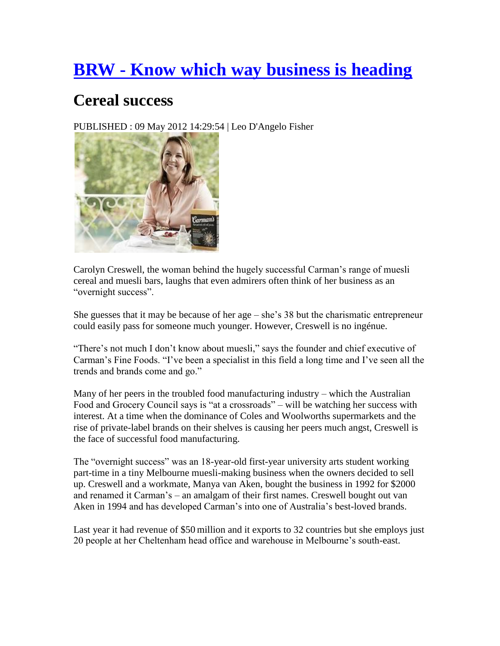### **BRW - [Know which way business is heading](http://www.brw.com.au/)**

#### **Cereal success**

PUBLISHED : 09 May 2012 14:29:54 | Leo D'Angelo Fisher



Carolyn Creswell, the woman behind the hugely successful Carman"s range of muesli cereal and muesli bars, laughs that even admirers often think of her business as an "overnight success".

She guesses that it may be because of her age  $-$  she's 38 but the charismatic entrepreneur could easily pass for someone much younger. However, Creswell is no ingénue.

"There's not much I don't know about muesli," says the founder and chief executive of Carman's Fine Foods. "I've been a specialist in this field a long time and I've seen all the trends and brands come and go."

Many of her peers in the troubled food manufacturing industry – which the Australian Food and Grocery Council says is "at a crossroads" – will be watching her success with interest. At a time when the dominance of Coles and Woolworths supermarkets and the rise of private-label brands on their shelves is causing her peers much angst, Creswell is the face of successful food manufacturing.

The "overnight success" was an 18-year-old first-year university arts student working part-time in a tiny Melbourne muesli-making business when the owners decided to sell up. Creswell and a workmate, Manya van Aken, bought the business in 1992 for \$2000 and renamed it Carman"s – an amalgam of their first names. Creswell bought out van Aken in 1994 and has developed Carman"s into one of Australia"s best-loved brands.

Last year it had revenue of \$50 million and it exports to 32 countries but she employs just 20 people at her Cheltenham head office and warehouse in Melbourne"s south-east.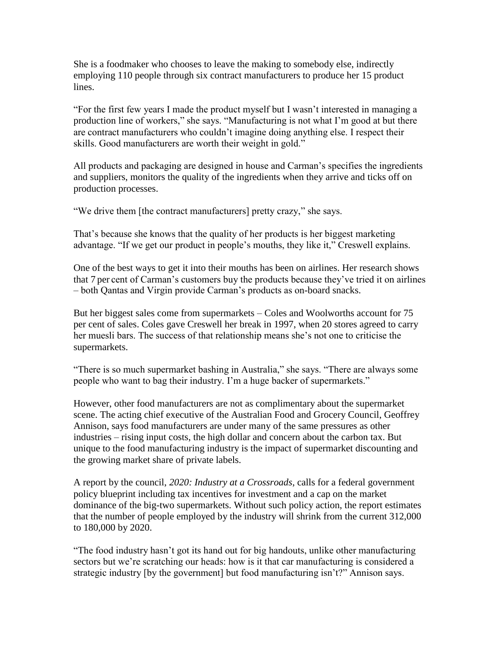She is a foodmaker who chooses to leave the making to somebody else, indirectly employing 110 people through six contract manufacturers to produce her 15 product lines.

"For the first few years I made the product myself but I wasn"t interested in managing a production line of workers," she says. "Manufacturing is not what I'm good at but there are contract manufacturers who couldn"t imagine doing anything else. I respect their skills. Good manufacturers are worth their weight in gold."

All products and packaging are designed in house and Carman"s specifies the ingredients and suppliers, monitors the quality of the ingredients when they arrive and ticks off on production processes.

"We drive them [the contract manufacturers] pretty crazy," she says.

That's because she knows that the quality of her products is her biggest marketing advantage. "If we get our product in people"s mouths, they like it," Creswell explains.

One of the best ways to get it into their mouths has been on airlines. Her research shows that 7 per cent of Carman"s customers buy the products because they"ve tried it on airlines – both Qantas and Virgin provide Carman"s products as on-board snacks.

But her biggest sales come from supermarkets – Coles and Woolworths account for 75 per cent of sales. Coles gave Creswell her break in 1997, when 20 stores agreed to carry her muesli bars. The success of that relationship means she"s not one to criticise the supermarkets.

"There is so much supermarket bashing in Australia," she says. "There are always some people who want to bag their industry. I"m a huge backer of supermarkets."

However, other food manufacturers are not as complimentary about the supermarket scene. The acting chief executive of the Australian Food and Grocery Council, Geoffrey Annison, says food manufacturers are under many of the same pressures as other industries – rising input costs, the high dollar and concern about the carbon tax. But unique to the food manufacturing industry is the impact of supermarket discounting and the growing market share of private labels.

A report by the council, *2020: Industry at a Crossroads*, calls for a federal government policy blueprint including tax incentives for investment and a cap on the market dominance of the big-two supermarkets. Without such policy action, the report estimates that the number of people employed by the industry will shrink from the current 312,000 to 180,000 by 2020.

"The food industry hasn"t got its hand out for big handouts, unlike other manufacturing sectors but we're scratching our heads: how is it that car manufacturing is considered a strategic industry [by the government] but food manufacturing isn't?" Annison says.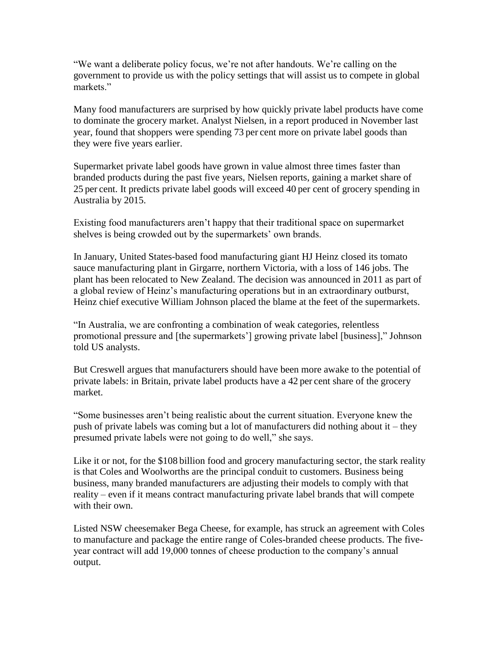"We want a deliberate policy focus, we"re not after handouts. We"re calling on the government to provide us with the policy settings that will assist us to compete in global markets"

Many food manufacturers are surprised by how quickly private label products have come to dominate the grocery market. Analyst Nielsen, in a report produced in November last year, found that shoppers were spending 73 per cent more on private label goods than they were five years earlier.

Supermarket private label goods have grown in value almost three times faster than branded products during the past five years, Nielsen reports, gaining a market share of 25 per cent. It predicts private label goods will exceed 40 per cent of grocery spending in Australia by 2015.

Existing food manufacturers aren"t happy that their traditional space on supermarket shelves is being crowded out by the supermarkets' own brands.

In January, United States-based food manufacturing giant HJ Heinz closed its tomato sauce manufacturing plant in Girgarre, northern Victoria, with a loss of 146 jobs. The plant has been relocated to New Zealand. The decision was announced in 2011 as part of a global review of Heinz"s manufacturing operations but in an extraordinary outburst, Heinz chief executive William Johnson placed the blame at the feet of the supermarkets.

"In Australia, we are confronting a combination of weak categories, relentless promotional pressure and [the supermarkets"] growing private label [business]," Johnson told US analysts.

But Creswell argues that manufacturers should have been more awake to the potential of private labels: in Britain, private label products have a 42 per cent share of the grocery market.

"Some businesses aren"t being realistic about the current situation. Everyone knew the push of private labels was coming but a lot of manufacturers did nothing about it – they presumed private labels were not going to do well," she says.

Like it or not, for the \$108 billion food and grocery manufacturing sector, the stark reality is that Coles and Woolworths are the principal conduit to customers. Business being business, many branded manufacturers are adjusting their models to comply with that reality – even if it means contract manufacturing private label brands that will compete with their own.

Listed NSW cheesemaker Bega Cheese, for example, has struck an agreement with Coles to manufacture and package the entire range of Coles-branded cheese products. The fiveyear contract will add 19,000 tonnes of cheese production to the company"s annual output.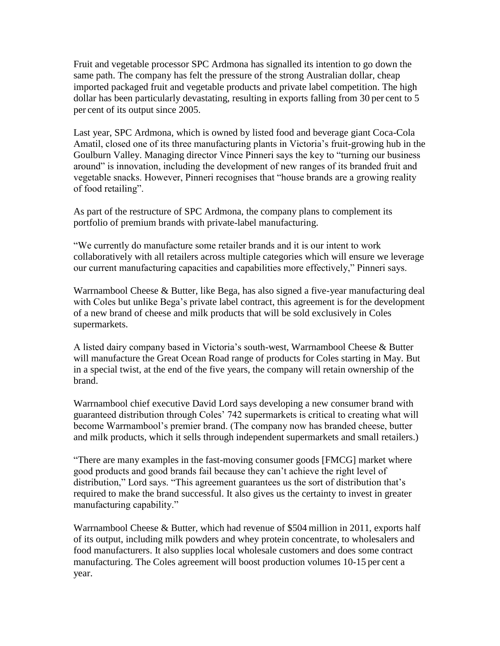Fruit and vegetable processor SPC Ardmona has signalled its intention to go down the same path. The company has felt the pressure of the strong Australian dollar, cheap imported packaged fruit and vegetable products and private label competition. The high dollar has been particularly devastating, resulting in exports falling from 30 per cent to 5 per cent of its output since 2005.

Last year, SPC Ardmona, which is owned by listed food and beverage giant Coca-Cola Amatil, closed one of its three manufacturing plants in Victoria"s fruit-growing hub in the Goulburn Valley. Managing director Vince Pinneri says the key to "turning our business around" is innovation, including the development of new ranges of its branded fruit and vegetable snacks. However, Pinneri recognises that "house brands are a growing reality of food retailing".

As part of the restructure of SPC Ardmona, the company plans to complement its portfolio of premium brands with private-label manufacturing.

"We currently do manufacture some retailer brands and it is our intent to work collaboratively with all retailers across multiple categories which will ensure we leverage our current manufacturing capacities and capabilities more effectively," Pinneri says.

Warrnambool Cheese & Butter, like Bega, has also signed a five-year manufacturing deal with Coles but unlike Bega's private label contract, this agreement is for the development of a new brand of cheese and milk products that will be sold exclusively in Coles supermarkets.

A listed dairy company based in Victoria"s south-west, Warrnambool Cheese & Butter will manufacture the Great Ocean Road range of products for Coles starting in May. But in a special twist, at the end of the five years, the company will retain ownership of the brand.

Warrnambool chief executive David Lord says developing a new consumer brand with guaranteed distribution through Coles" 742 supermarkets is critical to creating what will become Warrnambool"s premier brand. (The company now has branded cheese, butter and milk products, which it sells through independent supermarkets and small retailers.)

"There are many examples in the fast-moving consumer goods [FMCG] market where good products and good brands fail because they can"t achieve the right level of distribution," Lord says. "This agreement guarantees us the sort of distribution that's required to make the brand successful. It also gives us the certainty to invest in greater manufacturing capability."

Warrnambool Cheese & Butter, which had revenue of \$504 million in 2011, exports half of its output, including milk powders and whey protein concentrate, to wholesalers and food manufacturers. It also supplies local wholesale customers and does some contract manufacturing. The Coles agreement will boost production volumes 10-15 per cent a year.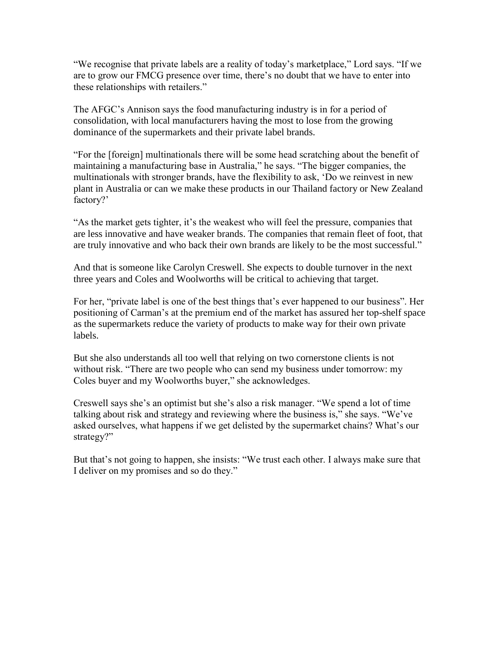"We recognise that private labels are a reality of today"s marketplace," Lord says. "If we are to grow our FMCG presence over time, there"s no doubt that we have to enter into these relationships with retailers."

The AFGC"s Annison says the food manufacturing industry is in for a period of consolidation, with local manufacturers having the most to lose from the growing dominance of the supermarkets and their private label brands.

"For the [foreign] multinationals there will be some head scratching about the benefit of maintaining a manufacturing base in Australia," he says. "The bigger companies, the multinationals with stronger brands, have the flexibility to ask, "Do we reinvest in new plant in Australia or can we make these products in our Thailand factory or New Zealand factory?'

"As the market gets tighter, it"s the weakest who will feel the pressure, companies that are less innovative and have weaker brands. The companies that remain fleet of foot, that are truly innovative and who back their own brands are likely to be the most successful."

And that is someone like Carolyn Creswell. She expects to double turnover in the next three years and Coles and Woolworths will be critical to achieving that target.

For her, "private label is one of the best things that"s ever happened to our business". Her positioning of Carman"s at the premium end of the market has assured her top-shelf space as the supermarkets reduce the variety of products to make way for their own private labels.

But she also understands all too well that relying on two cornerstone clients is not without risk. "There are two people who can send my business under tomorrow: my Coles buyer and my Woolworths buyer," she acknowledges.

Creswell says she"s an optimist but she"s also a risk manager. "We spend a lot of time talking about risk and strategy and reviewing where the business is," she says. "We"ve asked ourselves, what happens if we get delisted by the supermarket chains? What"s our strategy?"

But that's not going to happen, she insists: "We trust each other. I always make sure that I deliver on my promises and so do they."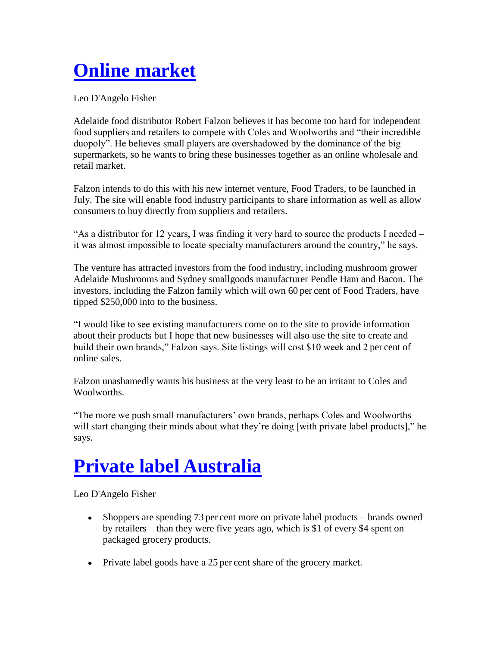# **[Online market](http://www.brw.com.au/p/sections/features/online_market_YjC4SDzwmITe3QVEBj7RgM)**

Leo D'Angelo Fisher

Adelaide food distributor Robert Falzon believes it has become too hard for independent food suppliers and retailers to compete with Coles and Woolworths and "their incredible duopoly". He believes small players are overshadowed by the dominance of the big supermarkets, so he wants to bring these businesses together as an online wholesale and retail market.

Falzon intends to do this with his new internet venture, Food Traders, to be launched in July. The site will enable food industry participants to share information as well as allow consumers to buy directly from suppliers and retailers.

"As a distributor for 12 years, I was finding it very hard to source the products I needed – it was almost impossible to locate specialty manufacturers around the country," he says.

The venture has attracted investors from the food industry, including mushroom grower Adelaide Mushrooms and Sydney smallgoods manufacturer Pendle Ham and Bacon. The investors, including the Falzon family which will own 60 per cent of Food Traders, have tipped \$250,000 into to the business.

"I would like to see existing manufacturers come on to the site to provide information about their products but I hope that new businesses will also use the site to create and build their own brands," Falzon says. Site listings will cost \$10 week and 2 per cent of online sales.

Falzon unashamedly wants his business at the very least to be an irritant to Coles and Woolworths.

"The more we push small manufacturers" own brands, perhaps Coles and Woolworths will start changing their minds about what they're doing [with private label products]," he says.

## **[Private label Australia](http://www.brw.com.au/p/sections/features/private_label_australia_4vepdugDM91IPETSx01ptL)**

Leo D'Angelo Fisher

- Shoppers are spending 73 per cent more on private label products brands owned by retailers – than they were five years ago, which is \$1 of every \$4 spent on packaged grocery products.
- Private label goods have a 25 per cent share of the grocery market.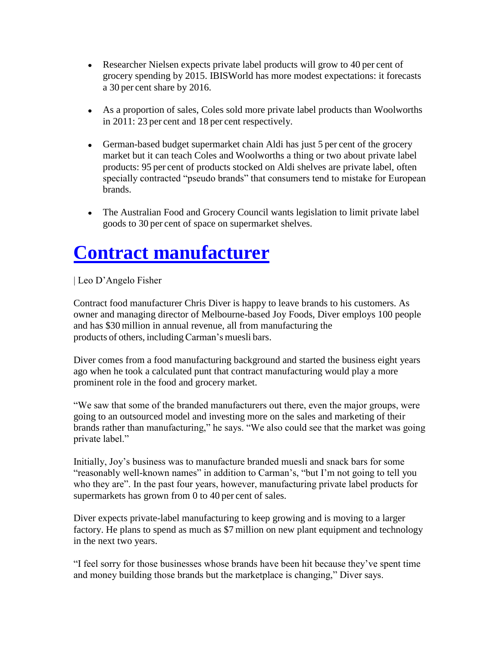- Researcher Nielsen expects private label products will grow to 40 per cent of grocery spending by 2015. IBISWorld has more modest expectations: it forecasts a 30 per cent share by 2016.
- As a proportion of sales, Coles sold more private label products than Woolworths in 2011: 23 per cent and 18 per cent respectively.
- German-based budget supermarket chain Aldi has just 5 per cent of the grocery market but it can teach Coles and Woolworths a thing or two about private label products: 95 per cent of products stocked on Aldi shelves are private label, often specially contracted "pseudo brands" that consumers tend to mistake for European brands.
- The Australian Food and Grocery Council wants legislation to limit private label goods to 30 per cent of space on supermarket shelves.

## **[Contract manufacturer](http://www.brw.com.au/p/sections/features/contract_manufacturer_Pkn0lqzDKwe9OctHs0dYbN)**

| Leo D"Angelo Fisher

Contract food manufacturer Chris Diver is happy to leave brands to his customers. As owner and managing director of Melbourne-based Joy Foods, Diver employs 100 people and has \$30 million in annual revenue, all from manufacturing the products of others, including Carman's muesli bars.

Diver comes from a food manufacturing background and started the business eight years ago when he took a calculated punt that contract manufacturing would play a more prominent role in the food and grocery market.

"We saw that some of the branded manufacturers out there, even the major groups, were going to an outsourced model and investing more on the sales and marketing of their brands rather than manufacturing," he says. "We also could see that the market was going private label."

Initially, Joy"s business was to manufacture branded muesli and snack bars for some "reasonably well-known names" in addition to Carman"s, "but I"m not going to tell you who they are". In the past four years, however, manufacturing private label products for supermarkets has grown from 0 to 40 per cent of sales.

Diver expects private-label manufacturing to keep growing and is moving to a larger factory. He plans to spend as much as \$7 million on new plant equipment and technology in the next two years.

"I feel sorry for those businesses whose brands have been hit because they"ve spent time and money building those brands but the marketplace is changing," Diver says.